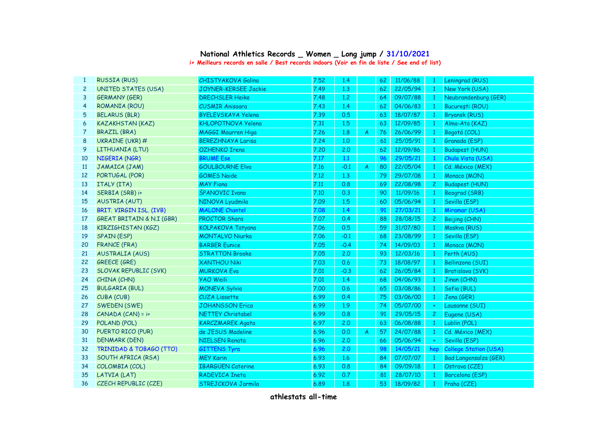## **National Athletics Records \_ Women \_ Long jump / 31/10/2021**

**i+ Meilleurs records en salle / Best records indoors (Voir en fin de liste / See end of list)**

| -1             | <b>RUSSIA (RUS)</b>                  | <b>CHISTYAKOVA Galina</b>   | 7.52 | 1.4     |                | 62 | 11/06/88 | $\mathbf{1}$    | Leningrad (RUS)              |
|----------------|--------------------------------------|-----------------------------|------|---------|----------------|----|----------|-----------------|------------------------------|
| $\overline{c}$ | <b>UNITED STATES (USA)</b>           | <b>JOYNER-KERSEE Jackie</b> | 7.49 | 1,3     |                | 62 | 22/05/94 | $\mathbf{1}$    | New York (USA)               |
| 3              | <b>GERMANY (GER)</b>                 | <b>DRECHSLER Heike</b>      | 7.48 | 1,2     |                | 64 | 09/07/88 | $\mathbf{1}$    | Neubrandenburg (GER)         |
| $\overline{4}$ | ROMANIA (ROU)                        | <b>CUSMIR Anisoara</b>      | 7.43 | 1.4     |                | 62 | 04/06/83 | $\mathbf{1}$    | București (ROU)              |
| 5              | <b>BELARUS (BLR)</b>                 | <b>BYELEVSKAYA Yelena</b>   | 7.39 | 0.5     |                | 63 | 18/07/87 | $\mathbf{1}$    | <b>Bryansk (RUS)</b>         |
| 6              | <b>KAZAKHSTAN (KAZ)</b>              | <b>KHLOPOTNOVA Yelena</b>   | 7.31 | 1.5     |                | 63 | 12/09/85 | $\mathbf{1}$    | Alma-Ata (KAZ)               |
| 7              | <b>BRAZIL (BRA)</b>                  | MAGGI Maurren Higa          | 7.26 | 1.8     | $\overline{A}$ | 76 | 26/06/99 | $\mathbf{1}$    | Bogotá (COL)                 |
| 8              | UKRAINE (UKR) #                      | <b>BEREZHNAYA Larisa</b>    | 7.24 | 1,0     |                | 61 | 25/05/91 | $\mathbf{1}$    | Granada (ESP)                |
| 9              | LITHUANIA (LTU)                      | <b>OZHENKO Irena</b>        | 7.20 | 2.0     |                | 62 | 12/09/86 | $\mathbf{1}$    | <b>Budapest (HUN)</b>        |
| 10             | NIGERIA (NGR)                        | <b>BRUME Ese</b>            | 7.17 | $1.1\,$ |                | 96 | 29/05/21 | $\mathbf{1}$    | Chula Vista (USA)            |
| 11             | JAMAICA (JAM)                        | <b>GOULBOURNE Elva</b>      | 7.16 | $-0.1$  | $\mathcal{A}$  | 80 | 22/05/04 | $\overline{1}$  | Cd. México (MEX)             |
| 12             | PORTUGAL (POR)                       | <b>GOMES Naide</b>          | 7.12 | 1.3     |                | 79 | 29/07/08 | -1              | Monaco (MON)                 |
| 13             | ITALY (ITA)                          | <b>MAY Fiona</b>            | 7.11 | 0.8     |                | 69 | 22/08/98 | $\overline{c}$  | <b>Budapest (HUN)</b>        |
| 14             | SERBIA (SRB) i+                      | <b>ŠPANOVIC Ivana</b>       | 7.10 | 0.3     |                | 90 | 11/09/16 | $\mathbf{1}$    | Beograd (SRB)                |
| 15             | <b>AUSTRIA (AUT)</b>                 | NINOVA Lyudmila             | 7.09 | 1.5     |                | 60 | 05/06/94 | $\mathbf{1}$    | Sevilla (ESP)                |
| 16             | BRIT. VIRGIN ISL. (IVB)              | <b>MALONE Chantel</b>       | 7.08 | 1.4     |                | 91 | 27/03/21 | $\mathbf{1}$    | Miramar (USA)                |
| 17             | <b>GREAT BRITAIN &amp; N.I (GBR)</b> | PROCTOR Shara               | 7.07 | 0.4     |                | 88 | 28/08/15 | $2^{\circ}$     | Beijing (CHN)                |
| 18             | KIRZIGHISTAN (KGZ)                   | KOLPAKOVA Tatyana           | 7.06 | 0.5     |                | 59 | 31/07/80 | $\mathbf{1}$    | Moskva (RUS)                 |
| 19             | <b>SPAIN (ESP)</b>                   | <b>MONTALVO Niurka</b>      | 7.06 | $-0.1$  |                | 68 | 23/08/99 | $\mathbf{1}$    | Sevilla (ESP)                |
| 20             | <b>FRANCE (FRA)</b>                  | <b>BARBER Eunice</b>        | 7.05 | $-0.4$  |                | 74 | 14/09/03 | $\vert 1 \vert$ | Monaco (MON)                 |
| 21             | <b>AUSTRALIA (AUS)</b>               | <b>STRATTON Brooke</b>      | 7.05 | 2.0     |                | 93 | 12/03/16 | $\overline{1}$  | Perth (AUS)                  |
| 22             | <b>GREECE (GRE)</b>                  | <b>XANTHOU Niki</b>         | 7.03 | 0.6     |                | 73 | 18/08/97 | $\mathbf{1}$    | Bellinzona (SUI)             |
| 23             | <b>SLOVAK REPUBLIC (SVK)</b>         | <b>MURKOVA Eva</b>          | 7.01 | $-0.3$  |                | 62 | 26/05/84 | $\overline{1}$  | Bratislava (SVK)             |
| 24             | CHINA (CHN)                          | <b>YAO Weili</b>            | 7.01 | 1.4     |                | 68 | 04/06/93 | $\overline{1}$  | Jinan (CHN)                  |
| 25             | <b>BULGARIA (BUL)</b>                | <b>MONEVA Sylvia</b>        | 7.00 | 0.6     |                | 65 | 03/08/86 | $\mathbf{1}$    | Sofia (BUL)                  |
| 26             | CUBA (CUB)                           | <b>CUZA Lissette</b>        | 6.99 | 0.4     |                | 75 | 03/06/00 | $\mathbf{1}$    | Jena (GER)                   |
| 27             | SWEDEN (SWE)                         | <b>JOHANSSON Erica</b>      | 6.99 | 1.9     |                | 74 | 05/07/00 | $\ddot{}$       | Lausanne (SUI)               |
| 28             | $CANADA (CAN) = i+$                  | <b>NETTEY Christabel</b>    | 6.99 | 0.8     |                | 91 | 29/05/15 | $\overline{2}$  | Eugene (USA)                 |
| 29             | POLAND (POL)                         | <b>KARCZMAREK Agata</b>     | 6.97 | 2.0     |                | 63 | 06/08/88 | $\mathbf{1}$    | Lublin (POL)                 |
| 30             | PUERTO RICO (PUR)                    | de JESUS Madeline           | 6.96 | 0.0     | $\overline{A}$ | 57 | 24/07/88 | $\mathbf{1}$    | Cd. México (MEX)             |
| 31             | <b>DENMARK (DEN)</b>                 | <b>NIELSEN Renata</b>       | 6.96 | 2.0     |                | 66 | 05/06/94 | $+$             | Sevilla (ESP)                |
| 32             | <b>TRINIDAD &amp; TOBAGO (TTO)</b>   | <b>GITTENS Tyra</b>         | 6.96 | 2.0     |                | 98 | 14/05/21 | hep             | <b>College Station (USA)</b> |
| 33             | SOUTH AFRICA (RSA)                   | <b>MEY Karin</b>            | 6.93 | 1.6     |                | 84 | 07/07/07 | $\overline{1}$  | <b>Bad Langensalza (GER)</b> |
| 34             | COLOMBIA (COL)                       | <b>IBARGÜEN Caterine</b>    | 6.93 | 0.8     |                | 84 | 09/09/18 | $\overline{1}$  | Ostrava (CZE)                |
| 35             | LATVIA (LAT)                         | <b>RADEVICA Ineta</b>       | 6.92 | 0.7     |                | 81 | 28/07/10 | $\overline{1}$  | Barcelona (ESP)              |
| 36             | CZECH REPUBLIC (CZE)                 | STREJCKOVA Jarmila          | 6.89 | 1.8     |                | 53 | 18/09/82 | $\overline{1}$  | Praha (CZE)                  |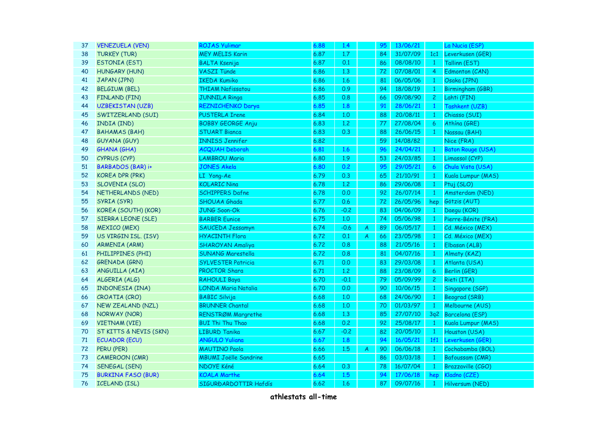| 37 | <b>VENEZUELA (VEN)</b>    | <b>ROJAS Yulimar</b>         | 6.88 | 1.4     |   | 95 | 13/06/21 |                 | La Nucia (ESP)           |
|----|---------------------------|------------------------------|------|---------|---|----|----------|-----------------|--------------------------|
| 38 | <b>TURKEY (TUR)</b>       | <b>MEY MELIS Karin</b>       | 6.87 | 1.7     |   | 84 | 31/07/09 | 1c1             | Leverkusen (GER)         |
| 39 | <b>ESTONIA (EST)</b>      | <b>BALTA Ksenija</b>         | 6.87 | 0.1     |   | 86 | 08/08/10 | $\vert 1 \vert$ | Tallinn (EST)            |
| 40 | <b>HUNGARY (HUN)</b>      | <b>VASZI Tünde</b>           | 6.86 | 1.3     |   | 72 | 07/08/01 | $\overline{4}$  | Edmonton (CAN)           |
| 41 | JAPAN (JPN)               | <b>IKEDA Kumiko</b>          | 6.86 | 1.6     |   | 81 | 06/05/06 | $\mathbf{1}$    | Osaka (JPN)              |
| 42 | <b>BELGIUM (BEL)</b>      | <b>THIAM Nafissatou</b>      | 6.86 | 0.9     |   | 94 | 18/08/19 | $\mathbf{1}$    | Birmingham (GBR)         |
| 43 | <b>FINLAND (FIN)</b>      | <b>JUNNILA Ringa</b>         | 6.85 | 0.8     |   | 66 | 09/08/90 | $\overline{2}$  | Lahti (FIN)              |
| 44 | <b>UZBEKISTAN (UZB)</b>   | REZNICHENKO Darya            | 6.85 | 1.8     |   | 91 | 28/06/21 | $\mathbf{1}$    | Tashkent (UZB)           |
| 45 | SWITZERLAND (SUI)         | <b>PUSTERLA Irene</b>        | 6.84 | 1,0     |   | 88 | 20/08/11 | $\mathbf{1}$    | Chiasso (SUI)            |
| 46 | INDIA (IND)               | <b>BOBBY GEORGE Anju</b>     | 6.83 | 1,2     |   | 77 | 27/08/04 | 6               | Athína (GRE)             |
| 47 | <b>BAHAMAS (BAH)</b>      | <b>STUART Bianca</b>         | 6.83 | 0.3     |   | 88 | 26/06/15 | $\mathbf{1}$    | Nassau (BAH)             |
| 48 | <b>GUYANA (GUY)</b>       | <b>INNISS Jennifer</b>       | 6.82 |         |   | 59 | 14/08/82 |                 | Nice (FRA)               |
| 49 | <b>GHANA (GHA)</b>        | <b>ACQUAH Deborah</b>        | 6.81 | 1.6     |   | 96 | 24/04/21 | $\mathbf{1}$    | <b>Baton Rouge (USA)</b> |
| 50 | CYPRUS (CYP)              | <b>LAMBROU Maria</b>         | 6.80 | 1.9     |   | 53 | 24/03/85 | $\mathbf{1}$    | Limassol (CYP)           |
| 51 | BARBADOS (BAR) i+         | <b>JONES Akela</b>           | 6.80 | 0.2     |   | 95 | 29/05/21 | $\epsilon$      | Chula Vista (USA)        |
| 52 | <b>KOREA DPR (PRK)</b>    | LI Yong-Ae                   | 6.79 | 0.3     |   | 65 | 21/10/91 | $\mathbf{1}$    | Kuala Lumpur (MAS)       |
| 53 | <b>SLOVENIA (SLO)</b>     | <b>KOLARIC Nina</b>          | 6.78 | $1.2\,$ |   | 86 | 29/06/08 | $\mathbf{1}$    | Ptuj (SLO)               |
| 54 | NETHERLANDS (NED)         | <b>SCHIPPERS Dafne</b>       | 6.78 | 0.0     |   | 92 | 26/07/14 | $\mathbf{1}$    | Amsterdam (NED)          |
| 55 | SYRIA (SYR)               | <b>SHOUAA Ghada</b>          | 6.77 | 0.6     |   | 72 | 26/05/96 | hep             | Götzis (AUT)             |
| 56 | KOREA (SOUTH) (KOR)       | <b>JUNG Soon-Ok</b>          | 6.76 | $-0.2$  |   | 83 | 04/06/09 | $\mathbf{1}$    | Daegu (KOR)              |
| 57 | SIERRA LEONE (SLE)        | <b>BARBER Eunice</b>         | 6.75 | 1,0     |   | 74 | 05/06/98 | $\mathbf{1}$    | Pierre-Bénite (FRA)      |
| 58 | <b>MEXICO (MEX)</b>       | SAUCEDA Jessamyn             | 6.74 | $-0.6$  | A | 89 | 06/05/17 | $\mathbf{1}$    | Cd. México (MEX)         |
| 59 | US VIRGIN ISL. (ISV)      | <b>HYACINTH Flora</b>        | 6.72 | 0.1     | A | 66 | 23/05/98 | $\mathbf{1}$    | Cd. México (MEX)         |
| 60 | <b>ARMENIA (ARM)</b>      | <b>SHAROYAN Amaliya</b>      | 6.72 | 0.8     |   | 88 | 21/05/16 | $\mathbf{1}$    | Elbasan (ALB)            |
| 61 | PHILIPPINES (PHI)         | SUNANG Marestella            | 6.72 | 0.8     |   | 81 | 04/07/16 | $\mathbf{1}$    | Almaty (KAZ)             |
| 62 | <b>GRENADA (GRN)</b>      | <b>SYLVESTER Patricia</b>    | 6.71 | 0.0     |   | 83 | 29/03/08 | $\mathbf{1}$    | Atlanta (USA)            |
| 63 | ANGUILLA (AIA)            | PROCTOR Shara                | 6.71 | 1.2     |   | 88 | 23/08/09 | $\overline{6}$  | Berlin (GER)             |
| 64 | ALGERIA (ALG)             | <b>RAHOULI Baya</b>          | 6.70 | $-0.1$  |   | 79 | 05/09/99 | $\mathbf{2}$    | Rieti (ITA)              |
| 65 | INDONESIA (INA)           | LONDA Maria Natalia          | 6.70 | 0.0     |   | 90 | 10/06/15 | $\mathbf{1}$    | Singapore (SGP)          |
| 66 | CROATIA (CRO)             | <b>BABIC Silvija</b>         | 6.68 | 1,0     |   | 68 | 24/06/90 | $\mathbf{1}$    | <b>Beograd (SRB)</b>     |
| 67 | NEW ZEALAND (NZL)         | <b>BRUNNER Chantal</b>       | 6.68 | 1,0     |   | 70 | 01/03/97 | $\mathbf{1}$    | Melbourne (AUS)          |
| 68 | <b>NORWAY (NOR)</b>       | RENSTRØM Margrethe           | 6.68 | 1.3     |   | 85 | 27/07/10 |                 | 3q2 Barcelona (ESP)      |
| 69 | <b>VIETNAM (VIE)</b>      | <b>BUI Thi Thu Thao</b>      | 6.68 | 0.2     |   | 92 | 25/08/17 | $\mathbf{1}$    | Kuala Lumpur (MAS)       |
| 70 | ST KITTS & NEVIS (SKN)    | <b>LIBURD Tanika</b>         | 6.67 | $-0.2$  |   | 82 | 20/05/10 | $\mathbf{1}$    | Houston (USA)            |
| 71 | <b>ECUADOR (ECU)</b>      | <b>ANGULO Yuliana</b>        | 6.67 | 1.8     |   | 94 | 16/05/21 | 1f1             | Leverkusen (GER)         |
| 72 | PERU (PER)                | <b>MAUTINO Paola</b>         | 6.66 | 1.5     | A | 90 | 06/06/18 | $\mathbf{1}$    | Cochabamba (BOL)         |
| 73 | <b>CAMEROON (CMR)</b>     | <b>MBUMI Joëlle Sandrine</b> | 6.65 |         |   | 86 | 03/03/18 | $\mathbf{1}$    | Bafoussam (CMR)          |
| 74 | <b>SENEGAL (SEN)</b>      | NDOYE Kéné                   | 6.64 | 0.3     |   | 78 | 16/07/04 | $\mathbf{1}$    | Brazzaville (CGO)        |
| 75 | <b>BURKINA FASO (BUR)</b> | <b>KOALA Marthe</b>          | 6.64 | 1.5     |   | 94 | 17/06/18 | hep             | Kladno (CZE)             |
| 76 | <b>ICELAND (ISL)</b>      | SIGURĐARDOTTIR Hafdís        | 6.62 | 1.6     |   | 87 | 09/07/16 | $\mathbf{1}$    | Hilversum (NED)          |